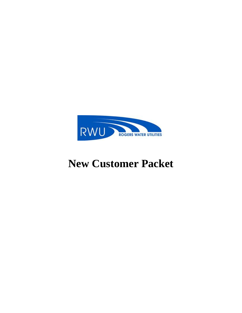

# **New Customer Packet**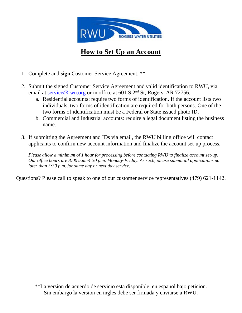

# **How to Set Up an Account**

- 1. Complete and **sign** Customer Service Agreement. \*\*
- 2. Submit the signed Customer Service Agreement and valid identification to RWU, via email at [service@rwu.org](mailto:service@rwu.org) or in office at 601 S  $2<sup>nd</sup>$  St, Rogers, AR 72756.
	- a. Residential accounts: require two forms of identification. If the account lists two individuals, two forms of identification are required for both persons. One of the two forms of identification must be a Federal or State issued photo ID.
	- b. Commercial and Industrial accounts: require a legal document listing the business name.
- 3. If submitting the Agreement and IDs via email, the RWU billing office will contact applicants to confirm new account information and finalize the account set-up process.

*Please allow a minimum of 1 hour for processing before contacting RWU to finalize account set-up. Our office hours are 8:00 a.m.-4:30 p.m. Monday-Friday. As such, please submit all applications no later than 3:30 p.m. for same day or next day service.* 

Questions? Please call to speak to one of our customer service representatives (479) 621-1142.

\*\*La version de acuerdo de servicio esta disponible en espanol bajo peticion. Sin embargo la version en ingles debe ser firmada y enviarse a RWU.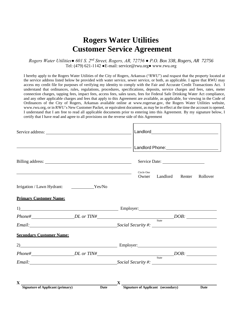# **Rogers Water Utilities Customer Service Agreement**

*Rogers Water Utilities● 601 S. 2nd Street, Rogers, AR, 72756 ● P.O. Box 338, Rogers, AR 72756* Tel: (479) 621-1142 ●E-mail: service@rwu.org● www.rwu.org

I hereby apply to the Rogers Water Utilities of the City of Rogers, Arkansas ("RWU") and request that the property located at the service address listed below be provided with water service, sewer service, or both, as applicable. I agree that RWU may access my credit file for purposes of verifying my identity to comply with the Fair and Accurate Credit Transactions Act. I understand that ordinances, rules, regulations, procedures, specifications, deposits, service charges and fees, rates, meter connection charges, tapping fees, impact fees, access fees, sales taxes, fees for Federal Safe Drinking Water Act compliance, and any other applicable charges and fees that apply to this Agreement are available, as applicable, for viewing in the Code of Ordinances of the City of Rogers, Arkansas available online at www.rogersar.gov, the Rogers Water Utilities website, www.rwu.org, or in RWU's New Customer Packet, or equivalent document, as may be in effect at the time the account is opened. I understand that I am free to read all applicable documents prior to entering into this Agreement. By my signature below, I certify that I have read and agree to all provisions on the reverse side of this Agreement

|                                                                                                                                                                                                                               |      |             | Circle One<br>Owner | Landlord                                  | Renter | Rollover |
|-------------------------------------------------------------------------------------------------------------------------------------------------------------------------------------------------------------------------------|------|-------------|---------------------|-------------------------------------------|--------|----------|
| Irrigation / Lawn Hydrant: ______________Yes/No                                                                                                                                                                               |      |             |                     |                                           |        |          |
| <b>Primary Customer Name:</b>                                                                                                                                                                                                 |      |             |                     |                                           |        |          |
| 1) Employer: Employer:                                                                                                                                                                                                        |      |             |                     |                                           |        |          |
| $Phone\#$ DDL or TIN# DOB: DOB:                                                                                                                                                                                               |      |             |                     |                                           |        |          |
| Email: Social Security #: Social Security = Social Security = Social Security = Social Security = Social Security = Social Security = Social Security = Social Security = Social Security = Social Security = Social Security |      |             |                     |                                           |        |          |
| <b>Secondary Customer Name:</b>                                                                                                                                                                                               |      |             |                     |                                           |        |          |
| 2) Employer: Employer:                                                                                                                                                                                                        |      |             |                     |                                           |        |          |
| $Phone\#$ $DL~or~TIN\#$ $DOB:$                                                                                                                                                                                                |      |             |                     |                                           |        |          |
|                                                                                                                                                                                                                               |      |             |                     |                                           |        |          |
| $\mathbf{X}$                                                                                                                                                                                                                  |      | $\mathbf X$ |                     |                                           |        |          |
| <b>Signature of Applicant (primary)</b>                                                                                                                                                                                       | Date |             |                     | <b>Signature of Applicant</b> (secondary) |        | Date     |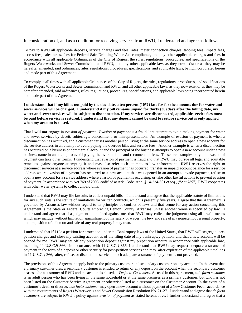In consideration of, and as a condition for receiving services from RWU, I understand and agree as follows:

To pay to RWU all applicable deposits, service charges and fees, rates, meter connection charges, tapping fees, impact fees, access fees, sales taxes, fees for Federal Safe Drinking Water Act compliance, and any other applicable charges and fees in accordance with all applicable Ordinances of the City of Rogers, the rules, regulations, procedures, and specifications of the Rogers Waterworks and Sewer Commission and RWU, and any other applicable law, as they now exist or as they may be hereafter amended, said ordinances, rules, regulations, procedures, specifications, and applicable laws, being incorporated herein and made part of this Agreement.

To comply at all times with all applicable Ordinances of the City of Rogers, the rules, regulations, procedures, and specifications of the Rogers Waterworks and Sewer Commission and RWU, and all other applicable laws, as they now exist or as they may be hereafter amended, said ordinances, rules, regulations, procedures, specifications, and applicable laws being incorporated herein and made part of this Agreement.

**I understand that if my bill is not paid by the due date, a ten percent (10%) late fee for the amounts due for water and sewer services will be charged. I understand if my bill remains unpaid for thirty (30) days after the billing date, my water and sewer services will be subject to disconnection. If my services are disconnected, applicable service fees must be paid before service is restored. I understand that any deposit cannot be used to restore service but is only applied when my account is closed.**

That I **will not** engage in *evasion of payment*. *Evasion of payment* is a fraudulent attempt to avoid making payment for water and sewer services by deceit, subterfuge, concealment, or misrepresentation. An example of evasion of payment is when a disconnection has occurred, and a customer causes another person living at the same service address to open a new account for the service address in an attempt to avoid paying the overdue bills and service fees. Another example is when a disconnection has occurred on a business or commercial account and the principal of the business attempts to open a new account under a new business name in an attempt to avoid paying the overdue bills and reconnection fees. These are examples only and evasion of payment can take other forms. I understand that evasion of payment is fraud and that RWU may pursue all legal and equitable remedies against anyone attempting it and may also refer such attempts to law enforcement. RWU reserves the right to disconnect services at a service address where evasion of payment has occurred, transfer an unpaid account balance for a service address where evasion of payment has occurred to a new account that was opened in an attempt to evade payment, refuse to open a new account for a service address where evasion of payment is occurring, or take other lawful actions to prevent evasion of payment. In accordance with Act 769 of 2003, codified at Ark. Code. Ann. § 14-234-601 *et seq*., ("Act 769"), RWU cooperates with other water systems to collect unpaid bills.

I understand that RWU may file lawsuits to collect unpaid bills. I understand and agree that the applicable statute of limitations for any such suits is the statute of limitations for written contracts, which is presently five years. I agree that this Agreement is governed by Arkansas law without regard to its principles of conflict of laws and that venue for any action concerning this Agreement is the State or Federal Courts embracing Benton County, Arkansas, unless another venue is specified by law. I understand and agree that if a judgment is obtained against me, that RWU may collect the judgment using all lawful means which may include, without limitation, garnishment of my salary or wages, the levy and sale of my nonexempt personal property, and imposition of a lien on and sale of any real property I may own.

I understand that if I file a petition for protection under the Bankruptcy laws of the United States, that RWU will segregate prepetition charges and close my existing account as of the filing date of my bankruptcy petition, and that a new account will be opened for me. RWU may set off any prepetition deposit against my prepetition account in accordance with applicable law, including 11 U.S.C.§ 366. In accordance with 11 U.S.C.§ 366, I understand that RWU may request adequate assurance of payment in the form of a deposit or other security for post-petition services and may, after expiration of the applicable timelines in 11 U.S.C.§ 366, alter, refuse, or discontinue service if such adequate assurance of payment is not provided.

The provisions of this Agreement apply both to the primary customer and secondary customer on any account. In the event that a primary customer dies, a secondary customer is entitled to return of any deposit on the account when the secondary customer ceases to be a customer of RWU and the account is closed. *De facto Customers.* As used in this Agreement, a *de facto custome*r is an adult person who has been living in the same household or at the same premises as a primary customer, but who has not been listed on the Customer Service Agreement or otherwise listed as a customer on the Customer Account. In the event of a customer's death or divorce, a *de facto customer* may open a new account without payment of a New Customer Fee in accordance with the requirements of Rogers Waterworks and Sewer Commission Resolution No. 21-27. I understand and agree that *de facto customers* are subject to RWU's policy against *evasion of payment* as stated hereinabove. I further understand and agree that a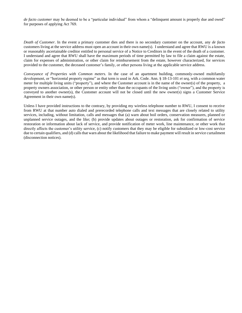*de facto customer* may be deemed to be a "particular individual" from whom a "delinquent amount is properly due and owed" for purposes of applying Act 769.

*Death of Customer*. In the event a primary customer dies and there is no secondary customer on the account, any *de facto* customers living at the service address must open an account in their own name(s). I understand and agree that RWU is a known or reasonably ascertainable creditor entitled to personal service of a Notice to Creditors in the event of the death of a customer. I understand and agree that RWU shall have the maximum periods of time permitted by law to file a claim against the estate, claim for expenses of administration, or other claim for reimbursement from the estate, however characterized, for services provided to the customer, the deceased customer's family, or other persons living at the applicable service address.

*Conveyance of Properties with Common meters.* In the case of an apartment building, commonly-owned multifamily development, or "horizontal property regime" as that term is used in Ark. Code. Ann. § 18-13-101 *et seq,* with a common water meter for multiple living units ("property"), and where the Customer account is in the name of the owner(s) of the property, a property owners association, or other person or entity other than the occupants of the living units ("owner"), and the property is conveyed to another owner(s), the Customer account will not be closed until the new owner(s) signs a Customer Service Agreement in their own name(s).

Unless I have provided instructions to the contrary, by providing my wireless telephone number to RWU, I consent to receive from RWU at that number auto dialed and prerecorded telephone calls and text messages that are closely related to utility services, including, without limitation, calls and messages that (a) warn about boil orders, conservation measures, planned or unplanned service outages, and the like; (b) provide updates about outages or restoration, ask for confirmation of service restoration or information about lack of service, and provide notification of meter work, line maintenance, or other work that directly affects the customer's utility service, (c) notify customers that they may be eligible for subsidized or low-cost service due to certain qualifiers, and (d) calls that warn about the likelihood that failure to make payment will result in service curtailment (disconnection notices).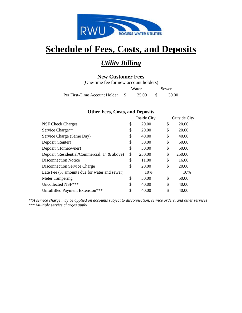

## *Utility Billing*

## **New Customer Fees**

(One-time fee for new account holders) Water Sewer Per First-Time Account Holder \$ 25.00 \$ 30.00

## **Other Fees, Costs, and Deposits**

|                                              | <b>Inside City</b> |    | Outside City |
|----------------------------------------------|--------------------|----|--------------|
| NSF Check Charges                            | \$<br>20.00        | S  | 20.00        |
| Service Charge**                             | \$<br>20.00        | \$ | 20.00        |
| Service Charge (Same Day)                    | \$<br>40.00        | \$ | 40.00        |
| Deposit (Renter)                             | \$<br>50.00        | \$ | 50.00        |
| Deposit (Homeowner)                          | \$<br>50.00        | \$ | 50.00        |
| Deposit (Residential/Commercial; 1" & above) | \$<br>250.00       | \$ | 250.00       |
| Disconnection Notice                         | \$<br>11.00        | \$ | 16.00        |
| Disconnection Service Charge                 | \$<br>20.00        | \$ | 20.00        |
| Late Fee (% amounts due for water and sewer) | 10%                |    | 10%          |
| Meter Tampering                              | \$<br>50.00        | \$ | 50.00        |
| Uncollected NSF***                           | \$<br>40.00        | \$ | 40.00        |
| Unfulfilled Payment Extension***             | \$<br>40.00        | \$ | 40.00        |

*\*\*A service charge may be applied on accounts subject to disconnection, service orders, and other services \*\*\* Multiple service charges apply*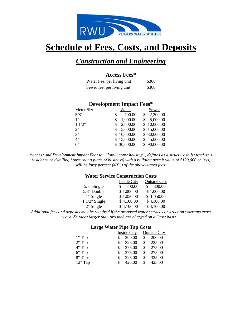

## *Construction and Engineering*

### **Access Fees\***

| Water Fee, per living unit | \$300 |
|----------------------------|-------|
| Sewer fee, per living unit | \$300 |

## **Development Impact Fees\***

| Meter Size  | Water        | Sewer          |
|-------------|--------------|----------------|
| 5/8"<br>\$  | 700.00       | 2,200.00<br>\$ |
| 1"<br>\$    | 1,000.00     | 5,000.00       |
| 11/2"<br>\$ | 2,000.00     | \$10,000.00    |
| 2"<br>S     | 5,000.00     | \$15,000.00    |
| 3"          | 10,000.00    | \$ 30,000.00   |
| 4"          | \$15,000.00  | \$45,000.00    |
| 6"          | \$ 30,000.00 | \$90,000.00    |

*\*Access and Development Impact Fees for "low-income housing", defined as a structure to be used as a residence or dwelling house (not a place of business) with a building permit value of \$120,000 or less, will be forty percent (40%) of the above-stated fees.*

### **Water Service Construction Costs**

|                 | Inside City  | <b>Outside City</b>    |
|-----------------|--------------|------------------------|
| $5/8$ " Single  | 800.00<br>S. | 800.00<br>$\mathbf{s}$ |
| 5/8" Double     | \$1,000.00   | \$1,000.00             |
| 1" Single       | \$1,050.00   | \$1,050.00             |
| $11/2$ " Single | \$4,100.00   | \$4,100.00             |
| 2" Single       | \$4,100.00   | \$4,100.00             |

*Additional fees and deposits may be required if the proposed water service construction warrants extra work. Services larger than two inch are charged on a "cost basis."*

#### **Large Water Pipe Tap Costs**

|          | <b>Inside City</b> |     | <b>Outside City</b> |
|----------|--------------------|-----|---------------------|
| 1" Tap   | 200.00             |     | 200.00              |
| $2"$ Tap | \$<br>225.00       | \$. | 225.00              |
| 4" Tap   | \$<br>275.00       | \$  | 275.00              |
| 6" Tap   | \$<br>275.00       | \$  | 275.00              |
| 8" Tap   | \$<br>325.00       | \$  | 325.00              |
| 12" Tap  | 425.00             | \$  | 425.00              |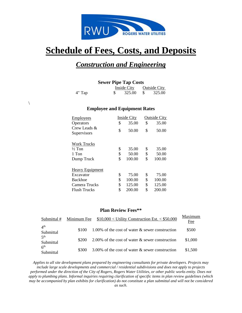

## *Construction and Engineering*

### **Sewer Pipe Tap Costs**

|          | Inside City |  | <b>Outside City</b> |
|----------|-------------|--|---------------------|
| $4"$ Tap | 325.00      |  | 325.00              |

### **Employee and Equipment Rates**

 $\setminus$ 

| <b>Employees</b>            | <b>Inside City</b> | <b>Outside City</b> |
|-----------------------------|--------------------|---------------------|
| Operators                   | \$<br>35.00        | \$<br>35.00         |
| Crew Leads &<br>Supervisors | \$<br>50.00        | \$<br>50.00         |
| <b>Work Trucks</b>          |                    |                     |
| $\frac{1}{2}$ Ton           | \$<br>35.00        | \$<br>35.00         |
| 1 Ton                       | \$<br>50.00        | \$<br>50.00         |
| Dump Truck                  | \$<br>100.00       | \$<br>100.00        |
| <b>Heavy Equipment</b>      |                    |                     |
| Excavator                   | \$<br>75.00        | \$<br>75.00         |
| <b>Backhoe</b>              | \$<br>100.00       | \$<br>100.00        |
| Camera Trucks               | \$<br>125.00       | \$<br>125.00        |
| <b>Flush Trucks</b>         | \$<br>200.00       | \$<br>200.00        |

#### **Plan Review Fees\*\***

| Submittal #                  | Minimum Fee | $$10,000 <$ Utility Construction Est. $< $50,000$  | Maximum<br>Fee |
|------------------------------|-------------|----------------------------------------------------|----------------|
| 4 <sup>th</sup><br>Submittal | \$100       | 1.00% of the cost of water $\&$ sewer construction | \$500          |
| 5 <sup>th</sup><br>Submittal | \$200       | 2.00% of the cost of water $\&$ sewer construction | \$1,000        |
| 6 <sup>th</sup><br>Submittal | \$300       | 3.00% of the cost of water $\&$ sewer construction | \$1,500        |

*Applies to all site development plans prepared by engineering consultants for private developers. Projects may include large scale developments and commercial / residential subdivisions and does not apply to projects performed under the direction of the City of Rogers, Rogers Water Utilities, or other public works entity. Does not apply to plumbing plans. Informal inquiries requiring clarification of specific items in plan review guidelines (which may be accompanied by plan exhibits for clarification) do not constitute a plan submittal and will not be considered as such.*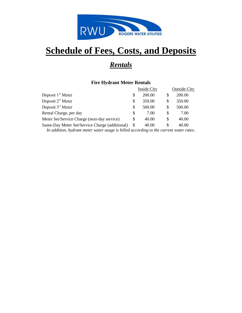

# *Rentals*

### **Fire Hydrant Meter Rentals**

|                                                                                                                                                                                                                                                                                                                                                                                       |   | <b>Inside City</b> |    | <b>Outside City</b> |
|---------------------------------------------------------------------------------------------------------------------------------------------------------------------------------------------------------------------------------------------------------------------------------------------------------------------------------------------------------------------------------------|---|--------------------|----|---------------------|
| Deposit 1" Meter                                                                                                                                                                                                                                                                                                                                                                      |   | 200.00             | \$ | 200.00              |
| Deposit 2" Meter                                                                                                                                                                                                                                                                                                                                                                      |   | 350.00             | S  | 350.00              |
| Deposit 3" Meter                                                                                                                                                                                                                                                                                                                                                                      |   | 500.00             | S  | 500.00              |
| Rental Charge, per day                                                                                                                                                                                                                                                                                                                                                                | S | 7.00               | S  | 7.00                |
| Meter Set/Service Charge (next-day service)                                                                                                                                                                                                                                                                                                                                           |   | 40.00              | S  | 40.00               |
| Same-Day Meter Set/Service Charge (additional)                                                                                                                                                                                                                                                                                                                                        |   | 40.00              | S  | 40.00               |
| $L_1 = J_1 L_2 = \ldots = L_{i-1} L_{i+1} + \ldots + L_{i-1} L_{i+1} + \ldots + L_{i-1} = L_{i+1} + \ldots + L_{i-1} + \ldots + L_{i-1} + \ldots + L_{i-1} + \ldots + L_{i-1} + \ldots + L_{i-1} + \ldots + L_{i-1} + \ldots + L_{i-1} + \ldots + L_{i-1} + \ldots + L_{i-1} + \ldots + L_{i-1} + \ldots + L_{i-1} + \ldots + L_{i-1} + \ldots + L_{i-1} + \ldots + L_{i-1} + \ldots$ |   |                    |    |                     |

*In addition, hydrant meter water usage is billed according to the current water rates.*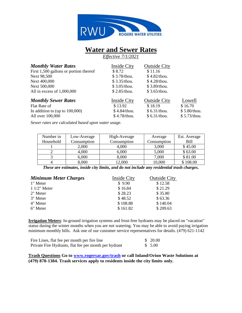

## **Water and Sewer Rates**

*Effective 7/1/2021*

| <b>Inside City</b> | <b>Outside City</b> |              |
|--------------------|---------------------|--------------|
| \$8.72             | \$11.16             |              |
| \$3.78/thou.       | \$4.82/thou.        |              |
| \$3.35/thou.       | $$4.28$ /thou.      |              |
| $$3.05/$ thou.     | \$3.89/thou.        |              |
| \$2.85/thou.       | \$3.65/thou.        |              |
| Inside City        | <b>Outside City</b> | Lowell       |
| \$13.92            | \$18.19             | \$16.70      |
| \$4.84/thou.       | \$ 6.31/thou.       | \$5.80/thou. |
| \$4.78/thou.       | \$6.31/thou.        | \$5.73/thou. |
|                    |                     |              |

 *Sewer rates are calculated based upon water usage.*

| Number in | Low-Average | High-Average | Average     | Est. Average |
|-----------|-------------|--------------|-------------|--------------|
| Household | Consumption | Consumption  | Consumption | Bill         |
|           | 2,000       | 4,000        | 3,000       | \$45.00      |
|           | 4,000       | 6,000        | 5,000       | \$63.00      |
|           | 6,000       | 8,000        | 7,000       | \$81.00      |
|           | 8,000       | 12,000       | 10,000      | \$108.00     |

*These are estimates, inside city limits, and do not include any residential trash charges.*

| <b>Minimum Meter Charges</b> | <b>Inside City</b> | <b>Outside City</b> |
|------------------------------|--------------------|---------------------|
| 1" Meter                     | \$9.90             | \$12.58             |
| $11/2$ " Meter               | \$16.84            | \$21.29             |
| 2" Meter                     | \$28.23            | \$35.80             |
| 3" Meter                     | \$48.52            | \$63.36             |
| 4" Meter                     | \$108.88           | \$140.04            |
| 6" Meter                     | \$161.82           | \$209.63            |

**Irrigation Meters**: In-ground irrigation systems and frost-free hydrants may be placed on "vacation" status during the winter months when you are not watering. You may be able to avoid paying irrigation minimum monthly bills. Ask one of our customer service representatives for details. (479) 621-1142

| Fire Lines, flat fee per month per fire line          | \$20.00 |
|-------------------------------------------------------|---------|
| Private Fire Hydrants, flat fee per month per hydrant | \$ 5.00 |

**Trash Questions Go to [www.rogersar.gov/trash](http://www.rogersar.gov/trash) or call Inland/Orion Waste Solutions at (479) 878-1384. Trash services apply to residents inside the city limits only.**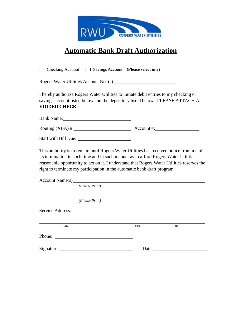

## **Automatic Bank Draft Authorization**

□ Checking Account □ Savings Account **(Please select one)** Rogers Water Utilities Account No. (s) I hereby authorize Rogers Water Utilities to initiate debit entries to my checking or savings account listed below and the depository listed below. PLEASE ATTACH A **VOIDED CHECK**. Bank Name: Routing (ABA) #: Account #: Start with Bill Due: This authority is to remain until Rogers Water Utilities has received notice from me of its termination in such time and in such manner as to afford Rogers Water Utilities a reasonable opportunity to act on it. I understand that Rogers Water Utilities reserves the right to terminate my participation in the automatic bank draft program. Account Name(s)  *(Please Print) (Please Print)* Service Address:

City **State City** State **City** State **City** State **City** State **City** State **City** Phone: Signature: Date: Date: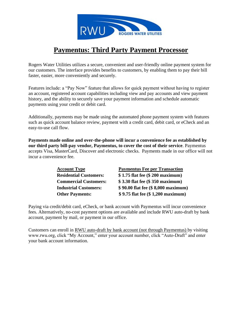

## **Paymentus: Third Party Payment Processor**

Rogers Water Utilities utilizes a secure, convenient and user-friendly online payment system for our customers. The interface provides benefits to customers, by enabling them to pay their bill faster, easier, more conveniently and securely.

Features include: a "Pay Now" feature that allows for quick payment without having to register an account, registered account capabilities including view and pay accounts and view payment history, and the ability to securely save your payment information and schedule automatic payments using your credit or debit card.

Additionally, payments may be made using the automated phone payment system with features such as quick account balance review, payment with a credit card, debit card, or eCheck and an easy-to-use call flow.

**Payments made online and over-the-phone will incur a convenience fee as established by our third party bill-pay vendor, Paymentus, to cover the cost of their service**. Paymentus accepts Visa, MasterCard, Discover and electronic checks. Payments made in our office will not incur a convenience fee.

| <b>Account Type</b>           | <b>Paymentus Fee per Transaction</b> |
|-------------------------------|--------------------------------------|
| <b>Residential Customers:</b> | \$1.75 flat fee (\$200 maximum)      |
| <b>Commercial Customers:</b>  | \$3.30 flat fee (\$350 maximum)      |
| <b>Industrial Customers:</b>  | \$90.00 flat fee (\$8,000 maximum)   |
| <b>Other Payments:</b>        | \$9.75 flat fee (\$1,200 maximum)    |

Paying via credit/debit card, eCheck, or bank account with Paymentus will incur convenience fees. Alternatively, no-cost payment options are available and include RWU auto-draft by bank account, payment by mail, or payment in our office.

Customers can enroll in RWU auto-draft by bank account (not through Paymentus) by visiting www.rwu.org, click "My Account," enter your account number, click "Auto-Draft" and enter your bank account information.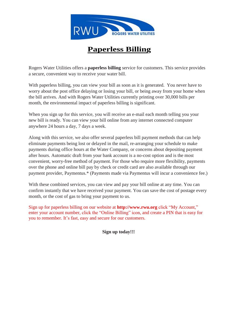

# **Paperless Billing**

Rogers Water Utilities offers a **paperless billing** service for customers. This service provides <sup>a</sup> secure, convenient way to receive your water bill.

With paperless billing, you can view your bill as soon as it is generated. You never have to worry about the post office delaying or losing your bill, or being away from your home when the bill arrives. And with Rogers Water Utilities currently printing over 30,000 bills per month, the environmental impact of paperless billing is significant.

When you sign up for this service, you will receive an e-mail each month telling you your new bill is ready. You can view your bill online from any internet connected computer anywhere 24 hours a day, 7 days a week.

Along with this service, we also offer several paperless bill payment methods that can help eliminate payments being lost or delayed in the mail, re-arranging your schedule to make payments during office hours at the Water Company, or concerns about depositing payment after hours. Automatic draft from your bank account is a no-cost option and is the most convenient, worry-free method of payment. For those who require more flexibility, payments over the phone and online bill pay by check or credit card are also available through our payment provider, Paymentus.\* (Payments made via Paymentus will incur a convenience fee.)

With these combined services, you can view and pay your bill online at any time. You can confirm instantly that we have received your payment. You can save the cost of postage every month, or the cost of gas to bring your payment to us.

Sign up for paperless billing on our website at **http://www.rwu.org** click "My Account," enter your account number, click the "Online Billing" icon, and create a PIN that is easy for you to remember. It's fast, easy and secure for our customers.

**Sign up today!!!**